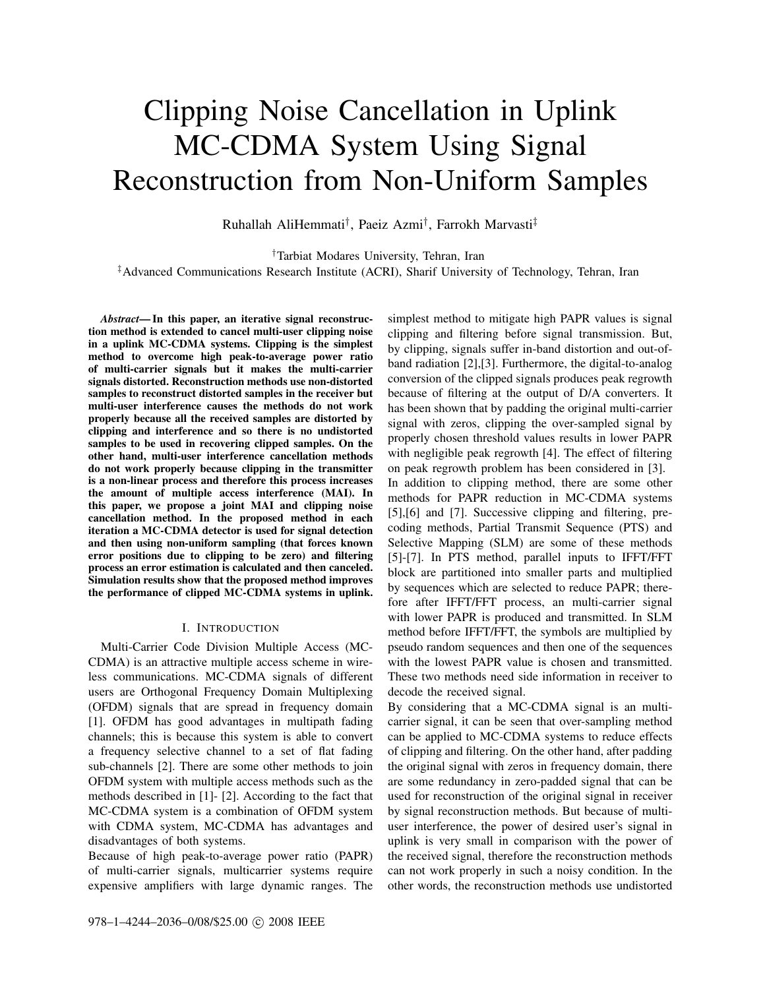# Clipping Noise Cancellation in Uplink MC-CDMA System Using Signal Reconstruction from Non-Uniform Samples

Ruhallah AliHemmati† , Paeiz Azmi† , Farrokh Marvasti‡

†Tarbiat Modares University, Tehran, Iran ‡Advanced Communications Research Institute (ACRI), Sharif University of Technology, Tehran, Iran

*Abstract***— In this paper, an iterative signal reconstruction method is extended to cancel multi-user clipping noise in a uplink MC-CDMA systems. Clipping is the simplest method to overcome high peak-to-average power ratio of multi-carrier signals but it makes the multi-carrier signals distorted. Reconstruction methods use non-distorted samples to reconstruct distorted samples in the receiver but multi-user interference causes the methods do not work properly because all the received samples are distorted by clipping and interference and so there is no undistorted samples to be used in recovering clipped samples. On the other hand, multi-user interference cancellation methods do not work properly because clipping in the transmitter is a non-linear process and therefore this process increases the amount of multiple access interference (MAI). In this paper, we propose a joint MAI and clipping noise cancellation method. In the proposed method in each iteration a MC-CDMA detector is used for signal detection and then using non-uniform sampling (that forces known error positions due to clipping to be zero) and filtering process an error estimation is calculated and then canceled. Simulation results show that the proposed method improves the performance of clipped MC-CDMA systems in uplink.**

# I. INTRODUCTION

Multi-Carrier Code Division Multiple Access (MC-CDMA) is an attractive multiple access scheme in wireless communications. MC-CDMA signals of different users are Orthogonal Frequency Domain Multiplexing (OFDM) signals that are spread in frequency domain [1]. OFDM has good advantages in multipath fading channels; this is because this system is able to convert a frequency selective channel to a set of flat fading sub-channels [2]. There are some other methods to join OFDM system with multiple access methods such as the methods described in [1]- [2]. According to the fact that MC-CDMA system is a combination of OFDM system with CDMA system, MC-CDMA has advantages and disadvantages of both systems.

Because of high peak-to-average power ratio (PAPR) of multi-carrier signals, multicarrier systems require expensive amplifiers with large dynamic ranges. The simplest method to mitigate high PAPR values is signal clipping and filtering before signal transmission. But, by clipping, signals suffer in-band distortion and out-ofband radiation [2],[3]. Furthermore, the digital-to-analog conversion of the clipped signals produces peak regrowth because of filtering at the output of D/A converters. It has been shown that by padding the original multi-carrier signal with zeros, clipping the over-sampled signal by properly chosen threshold values results in lower PAPR with negligible peak regrowth [4]. The effect of filtering on peak regrowth problem has been considered in [3]. In addition to clipping method, there are some other methods for PAPR reduction in MC-CDMA systems [5],[6] and [7]. Successive clipping and filtering, precoding methods, Partial Transmit Sequence (PTS) and Selective Mapping (SLM) are some of these methods [5]-[7]. In PTS method, parallel inputs to IFFT/FFT block are partitioned into smaller parts and multiplied by sequences which are selected to reduce PAPR; therefore after IFFT/FFT process, an multi-carrier signal with lower PAPR is produced and transmitted. In SLM method before IFFT/FFT, the symbols are multiplied by pseudo random sequences and then one of the sequences with the lowest PAPR value is chosen and transmitted. These two methods need side information in receiver to decode the received signal.

By considering that a MC-CDMA signal is an multicarrier signal, it can be seen that over-sampling method can be applied to MC-CDMA systems to reduce effects of clipping and filtering. On the other hand, after padding the original signal with zeros in frequency domain, there are some redundancy in zero-padded signal that can be used for reconstruction of the original signal in receiver by signal reconstruction methods. But because of multiuser interference, the power of desired user's signal in uplink is very small in comparison with the power of the received signal, therefore the reconstruction methods can not work properly in such a noisy condition. In the other words, the reconstruction methods use undistorted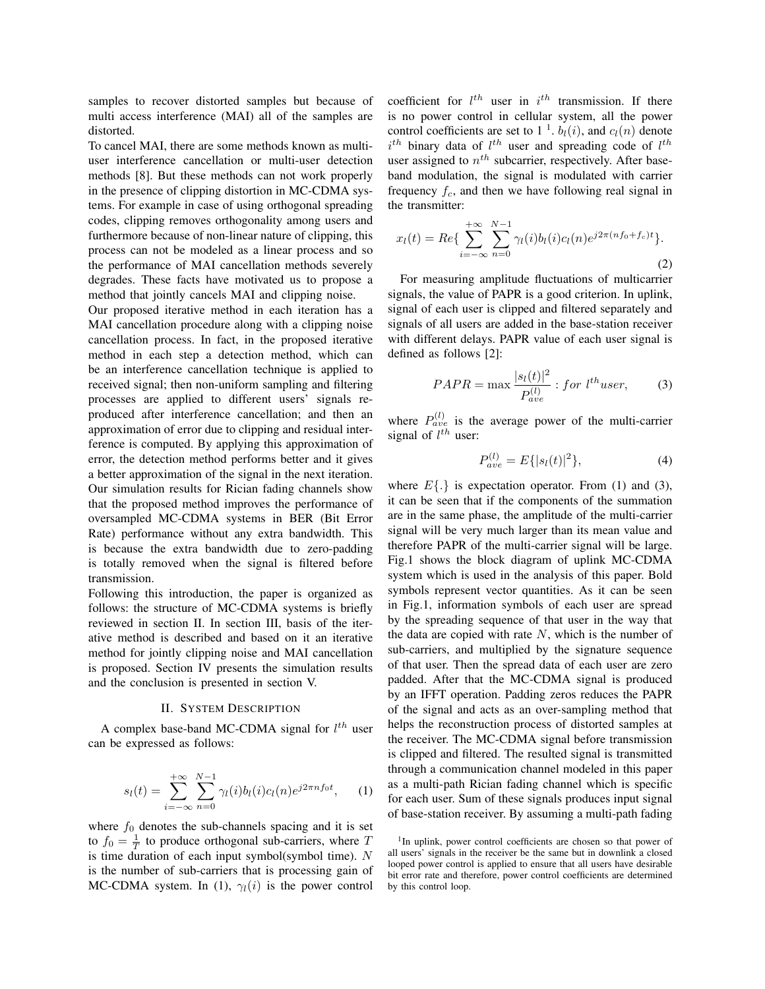samples to recover distorted samples but because of multi access interference (MAI) all of the samples are distorted.

To cancel MAI, there are some methods known as multiuser interference cancellation or multi-user detection methods [8]. But these methods can not work properly in the presence of clipping distortion in MC-CDMA systems. For example in case of using orthogonal spreading codes, clipping removes orthogonality among users and furthermore because of non-linear nature of clipping, this process can not be modeled as a linear process and so the performance of MAI cancellation methods severely degrades. These facts have motivated us to propose a method that jointly cancels MAI and clipping noise.

Our proposed iterative method in each iteration has a MAI cancellation procedure along with a clipping noise cancellation process. In fact, in the proposed iterative method in each step a detection method, which can be an interference cancellation technique is applied to received signal; then non-uniform sampling and filtering processes are applied to different users' signals reproduced after interference cancellation; and then an approximation of error due to clipping and residual interference is computed. By applying this approximation of error, the detection method performs better and it gives a better approximation of the signal in the next iteration. Our simulation results for Rician fading channels show that the proposed method improves the performance of oversampled MC-CDMA systems in BER (Bit Error Rate) performance without any extra bandwidth. This is because the extra bandwidth due to zero-padding is totally removed when the signal is filtered before transmission.

Following this introduction, the paper is organized as follows: the structure of MC-CDMA systems is briefly reviewed in section II. In section III, basis of the iterative method is described and based on it an iterative method for jointly clipping noise and MAI cancellation is proposed. Section IV presents the simulation results and the conclusion is presented in section V.

# II. SYSTEM DESCRIPTION

A complex base-band MC-CDMA signal for  $l^{th}$  user can be expressed as follows:

$$
s_l(t) = \sum_{i = -\infty}^{+\infty} \sum_{n = 0}^{N-1} \gamma_l(i) b_l(i) c_l(n) e^{j2\pi n f_0 t}, \quad (1)
$$

where  $f_0$  denotes the sub-channels spacing and it is set to  $f_0 = \frac{1}{T}$  to produce orthogonal sub-carriers, where T is time duration of each input symbol(symbol time).  $N$ is the number of sub-carriers that is processing gain of MC-CDMA system. In (1),  $\gamma_l(i)$  is the power control

coefficient for  $l^{th}$  user in  $i^{th}$  transmission. If there is no power control in cellular system, all the power control coefficients are set to  $1<sup>1</sup>$ .  $b_l(i)$ , and  $c_l(n)$  denote  $i^{th}$  binary data of  $l^{th}$  user and spreading code of  $l^{th}$ user assigned to  $n^{th}$  subcarrier, respectively. After baseband modulation, the signal is modulated with carrier frequency  $f_c$ , and then we have following real signal in the transmitter:

$$
x_l(t) = Re\{\sum_{i=-\infty}^{+\infty}\sum_{n=0}^{N-1} \gamma_l(i)b_l(i)c_l(n)e^{j2\pi(nf_0+f_c)t}\}.
$$
\n(2)

For measuring amplitude fluctuations of multicarrier signals, the value of PAPR is a good criterion. In uplink, signal of each user is clipped and filtered separately and signals of all users are added in the base-station receiver with different delays. PAPR value of each user signal is defined as follows [2]:

$$
PAPR = \max \frac{|s_l(t)|^2}{P_{ave}^{(l)}} : for \ l^{th}user,
$$
 (3)

where  $P_{ave}^{(l)}$  is the average power of the multi-carrier signal of  $l^{th}$  user:

$$
P_{ave}^{(l)} = E\{|s_l(t)|^2\},\tag{4}
$$

where  $E\{.\}$  is expectation operator. From (1) and (3), it can be seen that if the components of the summation are in the same phase, the amplitude of the multi-carrier signal will be very much larger than its mean value and therefore PAPR of the multi-carrier signal will be large. Fig.1 shows the block diagram of uplink MC-CDMA system which is used in the analysis of this paper. Bold symbols represent vector quantities. As it can be seen in Fig.1, information symbols of each user are spread by the spreading sequence of that user in the way that the data are copied with rate  $N$ , which is the number of sub-carriers, and multiplied by the signature sequence of that user. Then the spread data of each user are zero padded. After that the MC-CDMA signal is produced by an IFFT operation. Padding zeros reduces the PAPR of the signal and acts as an over-sampling method that helps the reconstruction process of distorted samples at the receiver. The MC-CDMA signal before transmission is clipped and filtered. The resulted signal is transmitted through a communication channel modeled in this paper as a multi-path Rician fading channel which is specific for each user. Sum of these signals produces input signal of base-station receiver. By assuming a multi-path fading

<sup>&</sup>lt;sup>1</sup>In uplink, power control coefficients are chosen so that power of all users' signals in the receiver be the same but in downlink a closed looped power control is applied to ensure that all users have desirable bit error rate and therefore, power control coefficients are determined by this control loop.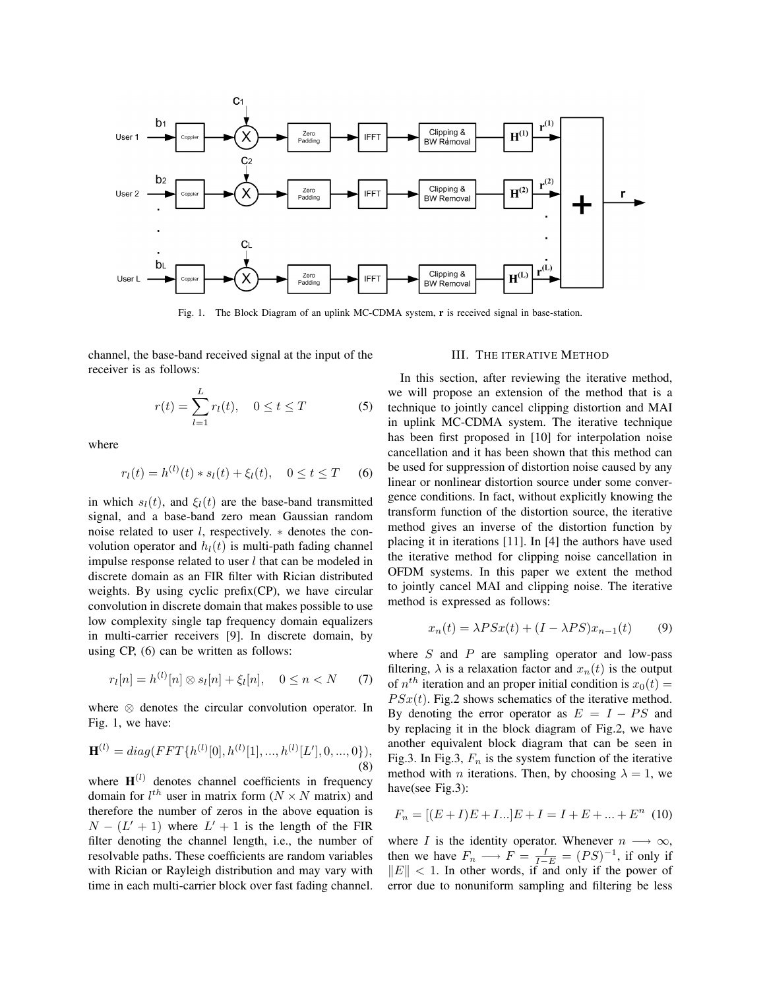

Fig. 1. The Block Diagram of an uplink MC-CDMA system, **r** is received signal in base-station.

channel, the base-band received signal at the input of the receiver is as follows:

$$
r(t) = \sum_{l=1}^{L} r_l(t), \quad 0 \le t \le T
$$
 (5)

where

$$
r_l(t) = h^{(l)}(t) * s_l(t) + \xi_l(t), \quad 0 \le t \le T \quad (6)
$$

in which  $s_l(t)$ , and  $\xi_l(t)$  are the base-band transmitted signal, and a base-band zero mean Gaussian random noise related to user l, respectively. ∗ denotes the convolution operator and  $h_l(t)$  is multi-path fading channel impulse response related to user  $l$  that can be modeled in discrete domain as an FIR filter with Rician distributed weights. By using cyclic prefix(CP), we have circular convolution in discrete domain that makes possible to use low complexity single tap frequency domain equalizers in multi-carrier receivers [9]. In discrete domain, by using CP, (6) can be written as follows:

$$
r_l[n] = h^{(l)}[n] \otimes s_l[n] + \xi_l[n], \quad 0 \le n < N \tag{7}
$$

where ⊗ denotes the circular convolution operator. In Fig. 1, we have:

$$
\mathbf{H}^{(l)} = diag(FFT\{h^{(l)}[0], h^{(l)}[1], ..., h^{(l)}[L'], 0, ..., 0\}),
$$
\n(8)

where  $H^{(l)}$  denotes channel coefficients in frequency domain for  $l^{th}$  user in matrix form  $(N \times N$  matrix) and therefore the number of zeros in the above equation is  $N - (L' + 1)$  where  $L' + 1$  is the length of the FIR filter denoting the channel length, i.e., the number of resolvable paths. These coefficients are random variables with Rician or Rayleigh distribution and may vary with time in each multi-carrier block over fast fading channel.

#### III. THE ITERATIVE METHOD

In this section, after reviewing the iterative method, we will propose an extension of the method that is a technique to jointly cancel clipping distortion and MAI in uplink MC-CDMA system. The iterative technique has been first proposed in [10] for interpolation noise cancellation and it has been shown that this method can be used for suppression of distortion noise caused by any linear or nonlinear distortion source under some convergence conditions. In fact, without explicitly knowing the transform function of the distortion source, the iterative method gives an inverse of the distortion function by placing it in iterations [11]. In [4] the authors have used the iterative method for clipping noise cancellation in OFDM systems. In this paper we extent the method to jointly cancel MAI and clipping noise. The iterative method is expressed as follows:

$$
x_n(t) = \lambda PSx(t) + (I - \lambda PS)x_{n-1}(t)
$$
 (9)

where  $S$  and  $P$  are sampling operator and low-pass filtering,  $\lambda$  is a relaxation factor and  $x_n(t)$  is the output of  $n^{th}$  iteration and an proper initial condition is  $x_0(t) =$  $PSx(t)$ . Fig.2 shows schematics of the iterative method. By denoting the error operator as  $E = I - PS$  and by replacing it in the block diagram of Fig.2, we have another equivalent block diagram that can be seen in Fig.3. In Fig.3,  $F_n$  is the system function of the iterative method with *n* iterations. Then, by choosing  $\lambda = 1$ , we have(see Fig.3):

$$
F_n = [(E+I)E+I...]E+I = I + E + ... + En (10)
$$

where *I* is the identity operator. Whenever  $n \longrightarrow \infty$ , then we have  $F_n \longrightarrow F = \frac{I}{I-E} = (PS)^{-1}$ , if only if  $\Vert E \Vert < 1$ . In other words, if and only if the power of error due to nonuniform sampling and filtering be less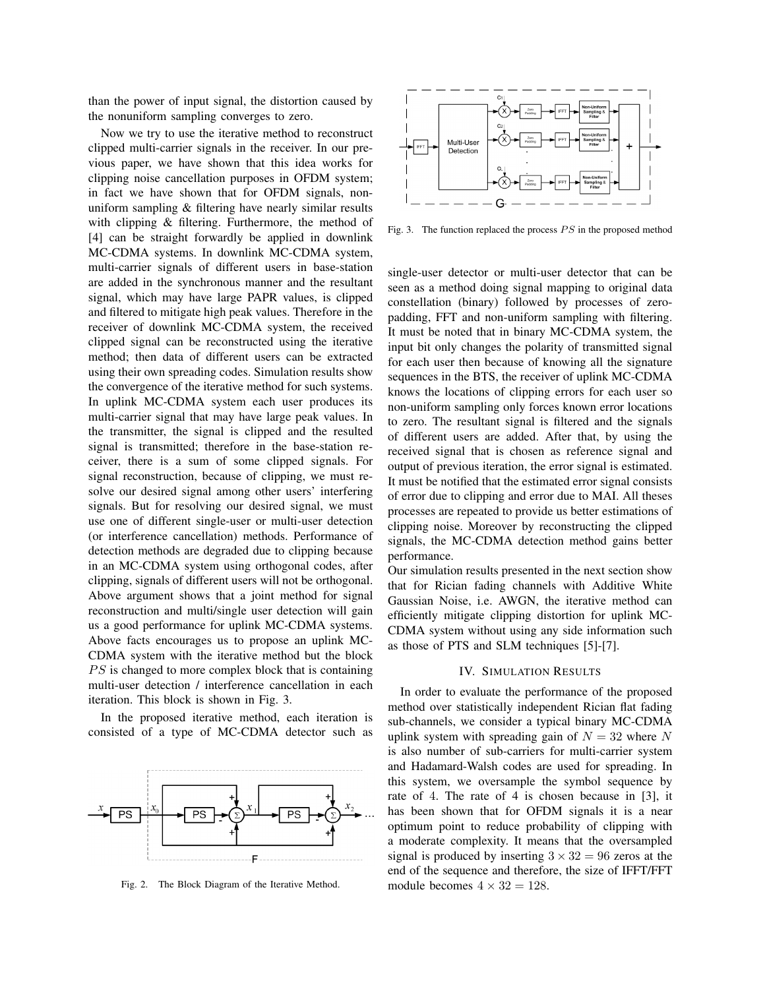than the power of input signal, the distortion caused by the nonuniform sampling converges to zero.

Now we try to use the iterative method to reconstruct clipped multi-carrier signals in the receiver. In our previous paper, we have shown that this idea works for clipping noise cancellation purposes in OFDM system; in fact we have shown that for OFDM signals, nonuniform sampling & filtering have nearly similar results with clipping & filtering. Furthermore, the method of [4] can be straight forwardly be applied in downlink MC-CDMA systems. In downlink MC-CDMA system, multi-carrier signals of different users in base-station are added in the synchronous manner and the resultant signal, which may have large PAPR values, is clipped and filtered to mitigate high peak values. Therefore in the receiver of downlink MC-CDMA system, the received clipped signal can be reconstructed using the iterative method; then data of different users can be extracted using their own spreading codes. Simulation results show the convergence of the iterative method for such systems. In uplink MC-CDMA system each user produces its multi-carrier signal that may have large peak values. In the transmitter, the signal is clipped and the resulted signal is transmitted; therefore in the base-station receiver, there is a sum of some clipped signals. For signal reconstruction, because of clipping, we must resolve our desired signal among other users' interfering signals. But for resolving our desired signal, we must use one of different single-user or multi-user detection (or interference cancellation) methods. Performance of detection methods are degraded due to clipping because in an MC-CDMA system using orthogonal codes, after clipping, signals of different users will not be orthogonal. Above argument shows that a joint method for signal reconstruction and multi/single user detection will gain us a good performance for uplink MC-CDMA systems. Above facts encourages us to propose an uplink MC-CDMA system with the iterative method but the block  $PS$  is changed to more complex block that is containing multi-user detection / interference cancellation in each iteration. This block is shown in Fig. 3.

In the proposed iterative method, each iteration is consisted of a type of MC-CDMA detector such as



Fig. 2. The Block Diagram of the Iterative Method.



Fig. 3. The function replaced the process  $PS$  in the proposed method

single-user detector or multi-user detector that can be seen as a method doing signal mapping to original data constellation (binary) followed by processes of zeropadding, FFT and non-uniform sampling with filtering. It must be noted that in binary MC-CDMA system, the input bit only changes the polarity of transmitted signal for each user then because of knowing all the signature sequences in the BTS, the receiver of uplink MC-CDMA knows the locations of clipping errors for each user so non-uniform sampling only forces known error locations to zero. The resultant signal is filtered and the signals of different users are added. After that, by using the received signal that is chosen as reference signal and output of previous iteration, the error signal is estimated. It must be notified that the estimated error signal consists of error due to clipping and error due to MAI. All theses processes are repeated to provide us better estimations of clipping noise. Moreover by reconstructing the clipped signals, the MC-CDMA detection method gains better performance.

Our simulation results presented in the next section show that for Rician fading channels with Additive White Gaussian Noise, i.e. AWGN, the iterative method can efficiently mitigate clipping distortion for uplink MC-CDMA system without using any side information such as those of PTS and SLM techniques [5]-[7].

## IV. SIMULATION RESULTS

In order to evaluate the performance of the proposed method over statistically independent Rician flat fading sub-channels, we consider a typical binary MC-CDMA uplink system with spreading gain of  $N = 32$  where N is also number of sub-carriers for multi-carrier system and Hadamard-Walsh codes are used for spreading. In this system, we oversample the symbol sequence by rate of 4. The rate of 4 is chosen because in [3], it has been shown that for OFDM signals it is a near optimum point to reduce probability of clipping with a moderate complexity. It means that the oversampled signal is produced by inserting  $3 \times 32 = 96$  zeros at the end of the sequence and therefore, the size of IFFT/FFT module becomes  $4 \times 32 = 128$ .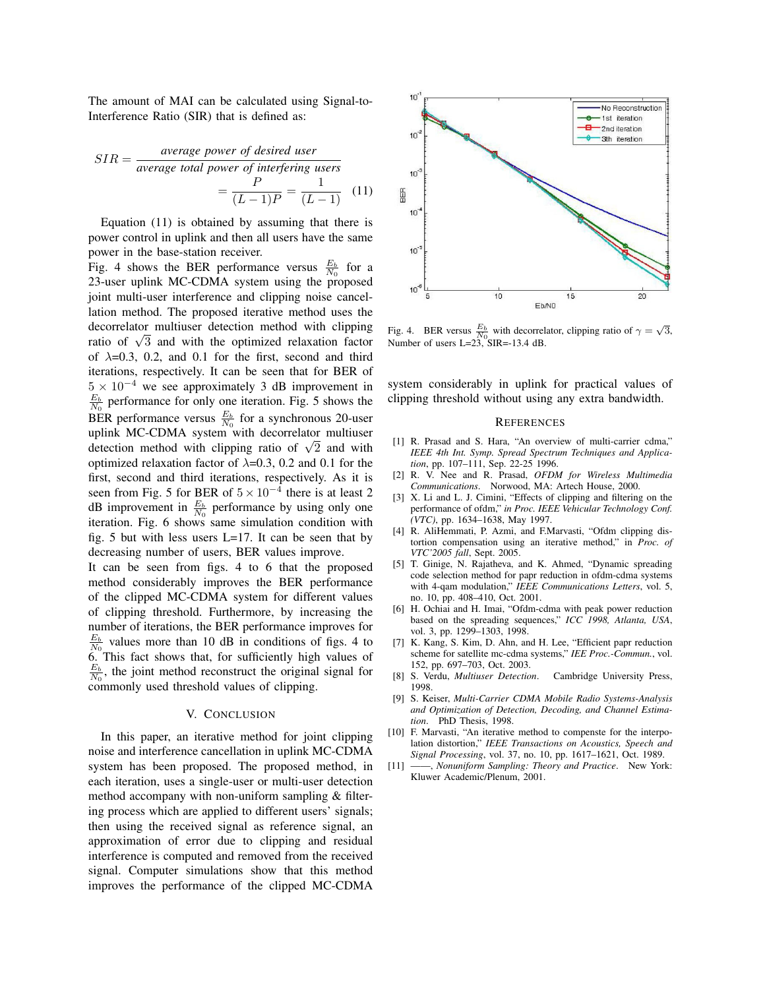The amount of MAI can be calculated using Signal-to-Interference Ratio (SIR) that is defined as:

$$
SIR = \frac{\text{average power of desired user}}{\text{average total power of interfering users}} = \frac{P}{(L-1)P} = \frac{1}{(L-1)}
$$
(11)

Equation (11) is obtained by assuming that there is power control in uplink and then all users have the same power in the base-station receiver.

Fig. 4 shows the BER performance versus  $\frac{E_b}{N_0}$  for a 23-user uplink MC-CDMA system using the proposed joint multi-user interference and clipping noise cancellation method. The proposed iterative method uses the decorrelator multiuser detection method with clipping ratio of  $\sqrt{3}$  and with the optimized relaxation factor of  $\lambda$ =0.3, 0.2, and 0.1 for the first, second and third iterations, respectively. It can be seen that for BER of  $5 \times 10^{-4}$  we see approximately 3 dB improvement in  $\frac{E_b}{N_0}$  performance for only one iteration. Fig. 5 shows the BER performance versus  $\frac{E_b}{N_0}$  for a synchronous 20-user uplink MC-CDMA system with decorrelator multiuser detection method with clipping ratio of  $\sqrt{2}$  and with optimized relaxation factor of  $\lambda$ =0.3, 0.2 and 0.1 for the first, second and third iterations, respectively. As it is seen from Fig. 5 for BER of  $5 \times 10^{-4}$  there is at least 2 dB improvement in  $\frac{E_b}{N_0}$  performance by using only one iteration. Fig. 6 shows same simulation condition with fig. 5 but with less users  $L=17$ . It can be seen that by decreasing number of users, BER values improve.

It can be seen from figs. 4 to 6 that the proposed method considerably improves the BER performance of the clipped MC-CDMA system for different values of clipping threshold. Furthermore, by increasing the number of iterations, the BER performance improves for  $\frac{E_b}{N_0}$  values more than 10 dB in conditions of figs. 4 to 6. This fact shows that, for sufficiently high values of  $\frac{E_b}{N_0}$ , the joint method reconstruct the original signal for commonly used threshold values of clipping.

## V. CONCLUSION

In this paper, an iterative method for joint clipping noise and interference cancellation in uplink MC-CDMA system has been proposed. The proposed method, in each iteration, uses a single-user or multi-user detection method accompany with non-uniform sampling & filtering process which are applied to different users' signals; then using the received signal as reference signal, an approximation of error due to clipping and residual interference is computed and removed from the received signal. Computer simulations show that this method improves the performance of the clipped MC-CDMA



Fig. 4. BER versus  $\frac{E_b}{N_0}$  with decorrelator, clipping ratio of  $\gamma = \sqrt{3}$ , Number of users L=23, SIR=-13.4 dB.

system considerably in uplink for practical values of clipping threshold without using any extra bandwidth.

#### **REFERENCES**

- [1] R. Prasad and S. Hara, "An overview of multi-carrier cdma," *IEEE 4th Int. Symp. Spread Spectrum Techniques and Application*, pp. 107–111, Sep. 22-25 1996.
- [2] R. V. Nee and R. Prasad, *OFDM for Wireless Multimedia Communications*. Norwood, MA: Artech House, 2000.
- [3] X. Li and L. J. Cimini, "Effects of clipping and filtering on the performance of ofdm," *in Proc. IEEE Vehicular Technology Conf. (VTC)*, pp. 1634–1638, May 1997.
- [4] R. AliHemmati, P. Azmi, and F.Marvasti, "Ofdm clipping distortion compensation using an iterative method," in *Proc. of VTC'2005 fall*, Sept. 2005.
- [5] T. Ginige, N. Rajatheva, and K. Ahmed, "Dynamic spreading code selection method for papr reduction in ofdm-cdma systems with 4-qam modulation," *IEEE Communications Letters*, vol. 5, no. 10, pp. 408–410, Oct. 2001.
- [6] H. Ochiai and H. Imai, "Ofdm-cdma with peak power reduction based on the spreading sequences," *ICC 1998, Atlanta, USA*, vol. 3, pp. 1299–1303, 1998.
- [7] K. Kang, S. Kim, D. Ahn, and H. Lee, "Efficient papr reduction scheme for satellite mc-cdma systems," *IEE Proc.-Commun.*, vol. 152, pp. 697–703, Oct. 2003.
- [8] S. Verdu, *Multiuser Detection*. Cambridge University Press, 1998.
- [9] S. Keiser, *Multi-Carrier CDMA Mobile Radio Systems-Analysis and Optimization of Detection, Decoding, and Channel Estimation*. PhD Thesis, 1998.
- [10] F. Marvasti, "An iterative method to compenste for the interpolation distortion," *IEEE Transactions on Acoustics, Speech and Signal Processing*, vol. 37, no. 10, pp. 1617–1621, Oct. 1989.
- [11] ——, *Nonuniform Sampling: Theory and Practice*. New York: Kluwer Academic/Plenum, 2001.